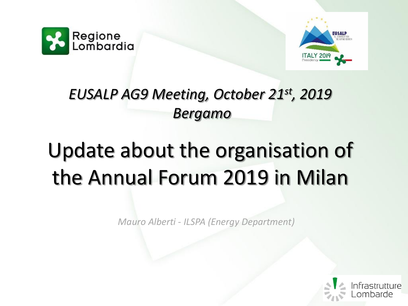



## *EUSALP AG9 Meeting, October 21st, 2019 Bergamo*

# Update about the organisation of the Annual Forum 2019 in Milan

*Mauro Alberti - ILSPA (Energy Department)*

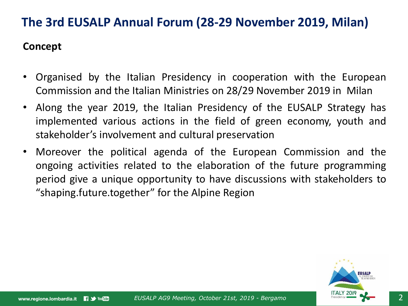#### **Concept**

- Organised by the Italian Presidency in cooperation with the European Commission and the Italian Ministries on 28/29 November 2019 in Milan
- Along the year 2019, the Italian Presidency of the EUSALP Strategy has implemented various actions in the field of green economy, youth and stakeholder's involvement and cultural preservation
- Moreover the political agenda of the European Commission and the ongoing activities related to the elaboration of the future programming period give a unique opportunity to have discussions with stakeholders to "shaping.future.together" for the Alpine Region

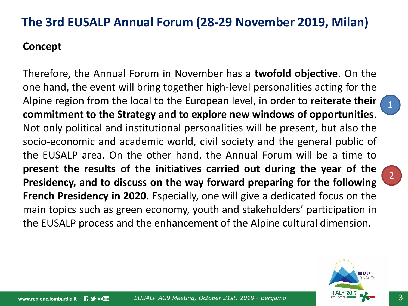## **Concept**

Therefore, the Annual Forum in November has a **twofold objective**. On the one hand, the event will bring together high-level personalities acting for the Alpine region from the local to the European level, in order to **reiterate their commitment to the Strategy and to explore new windows of opportunities**. Not only political and institutional personalities will be present, but also the socio-economic and academic world, civil society and the general public of the EUSALP area. On the other hand, the Annual Forum will be a time to **present the results of the initiatives carried out during the year of the Presidency, and to discuss on the way forward preparing for the following French Presidency in 2020**. Especially, one will give a dedicated focus on the main topics such as green economy, youth and stakeholders' participation in the EUSALP process and the enhancement of the Alpine cultural dimension.



1

2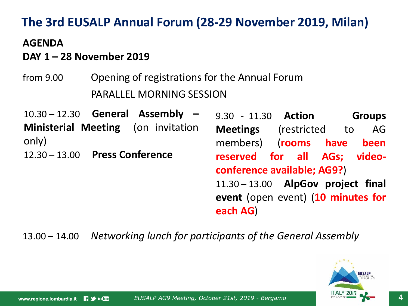### **AGENDA**

## **DAY 1 – 28 November 2019**

from 9.00 Opening of registrations for the Annual Forum PARALLEL MORNING SESSION

10.30 – 12.30 **General Assembly – Ministerial Meeting** (on invitation only) 12.30 – 13.00 **Press Conference**

9.30 - 11.30 **Action Groups Meetings** (restricted to AG members) (**rooms have been reserved for all AGs; videoconference available; AG9?**) 11.30 – 13.00 **AlpGov project final event** (open event) (**10 minutes for each AG**)

13.00 – 14.00 *Networking lunch for participants of the General Assembly*

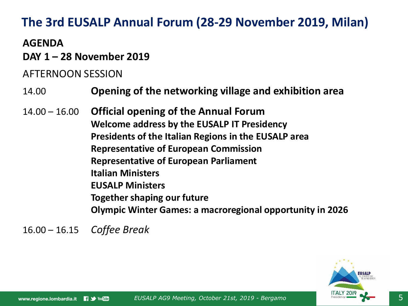## **AGENDA**

**DAY 1 – 28 November 2019**

## AFTERNOON SESSION

- 14.00 **Opening of the networking village and exhibition area**
- 14.00 16.00 **Official opening of the Annual Forum Welcome address by the EUSALP IT Presidency Presidents of the Italian Regions in the EUSALP area Representative of European Commission Representative of European Parliament Italian Ministers EUSALP Ministers Together shaping our future Olympic Winter Games: a macroregional opportunity in 2026**

16.00 – 16.15 *Coffee Break*

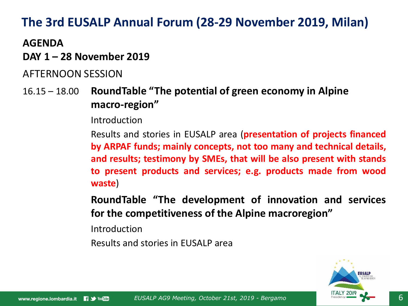## **AGENDA**

### **DAY 1 – 28 November 2019**

## AFTERNOON SESSION

16.15 – 18.00 **RoundTable "The potential of green economy in Alpine macro-region"**

Introduction

Results and stories in EUSALP area (**presentation of projects financed by ARPAF funds; mainly concepts, not too many and technical details, and results; testimony by SMEs, that will be also present with stands to present products and services; e.g. products made from wood waste**)

**RoundTable "The development of innovation and services for the competitiveness of the Alpine macroregion"**

Introduction

Results and stories in EUSALP area

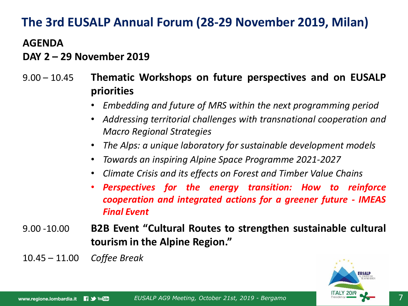#### **AGENDA**

#### **DAY 2 – 29 November 2019**

- 9.00 10.45 **Thematic Workshops on future perspectives and on EUSALP priorities**
	- *Embedding and future of MRS within the next programming period*
	- *Addressing territorial challenges with transnational cooperation and Macro Regional Strategies*
	- *The Alps: a unique laboratory for sustainable development models*
	- *Towards an inspiring Alpine Space Programme 2021-2027*
	- *Climate Crisis and its effects on Forest and Timber Value Chains*
	- *Perspectives for the energy transition: How to reinforce cooperation and integrated actions for a greener future - IMEAS Final Event*
- 9.00 -10.00 **B2B Event "Cultural Routes to strengthen sustainable cultural tourism in the Alpine Region."**
- 10.45 11.00 *Coffee Break*